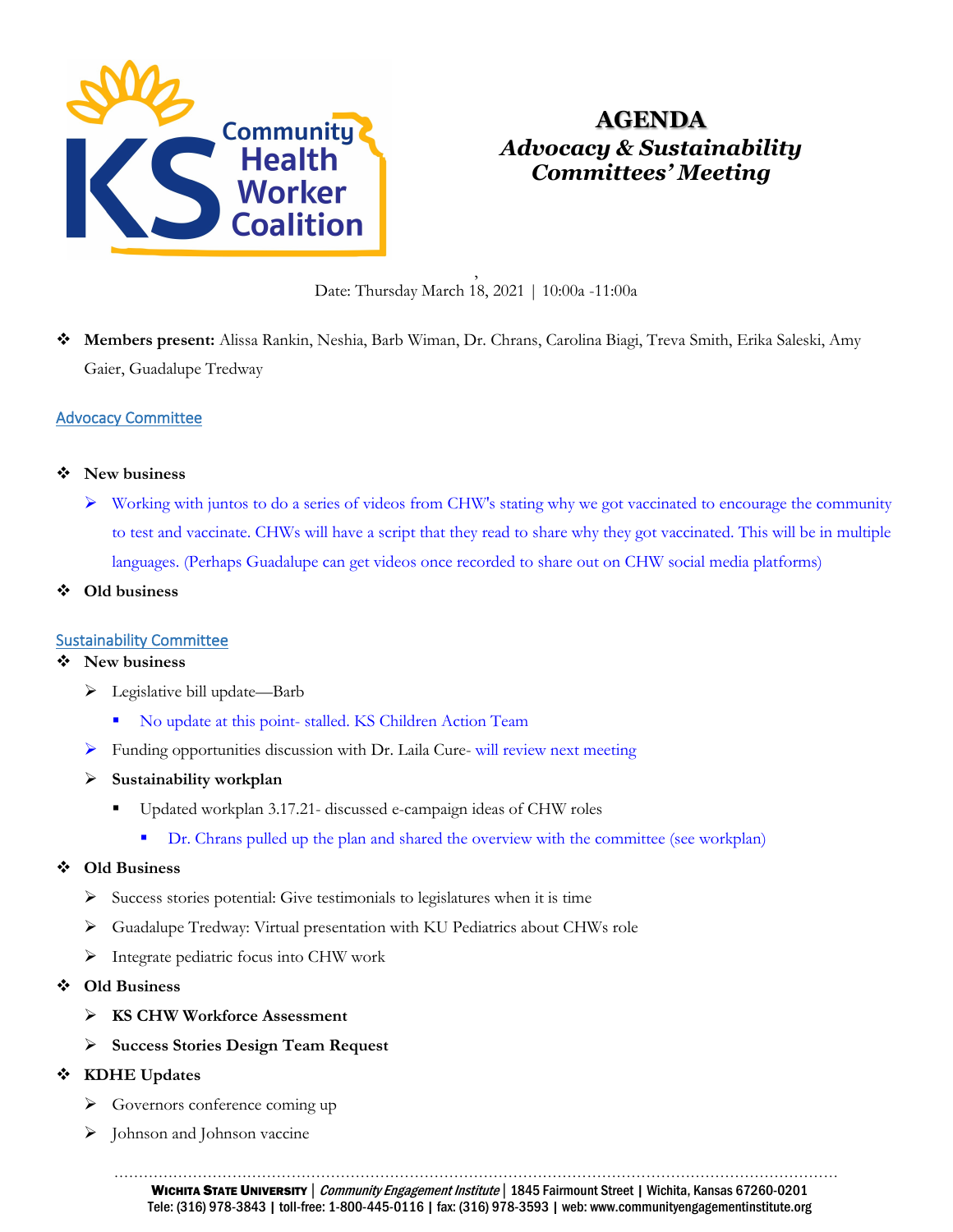

# **AGENDA** *Advocacy & Sustainability Committees' Meeting*

, Date: Thursday March 18, 2021 | 10:00a -11:00a

 **Members present:** Alissa Rankin, Neshia, Barb Wiman, Dr. Chrans, Carolina Biagi, Treva Smith, Erika Saleski, Amy Gaier, Guadalupe Tredway

# Advocacy Committee

- **New business**
	- Working with juntos to do a series of videos from CHW's stating why we got vaccinated to encourage the community to test and vaccinate. CHWs will have a script that they read to share why they got vaccinated. This will be in multiple languages. (Perhaps Guadalupe can get videos once recorded to share out on CHW social media platforms)
- **Old business**

# Sustainability Committee

#### **New business**

- Legislative bill update—Barb
	- No update at this point- stalled. KS Children Action Team
- Funding opportunities discussion with Dr. Laila Cure- will review next meeting
- **Sustainability workplan**
	- Updated workplan 3.17.21- discussed e-campaign ideas of CHW roles
		- Dr. Chrans pulled up the plan and shared the overview with the committee (see workplan)

# **Old Business**

- $\triangleright$  Success stories potential: Give testimonials to legislatures when it is time
- Guadalupe Tredway: Virtual presentation with KU Pediatrics about CHWs role
- $\triangleright$  Integrate pediatric focus into CHW work
- **Old Business**
	- **KS CHW Workforce Assessment**
	- **Success Stories Design Team Request**

# **KDHE Updates**

- Sovernors conference coming up
- $\triangleright$  Johnson and Johnson vaccine

………………………………………………………………………………………………………………………………… WICHITA STATE UNIVERSITY | Community Engagement Institute | 1845 Fairmount Street | Wichita, Kansas 67260-0201 Tele: (316) 978-3843 | toll-free: 1-800-445-0116 | fax: (316) 978-3593 | web: www.communityengagementinstitute.org